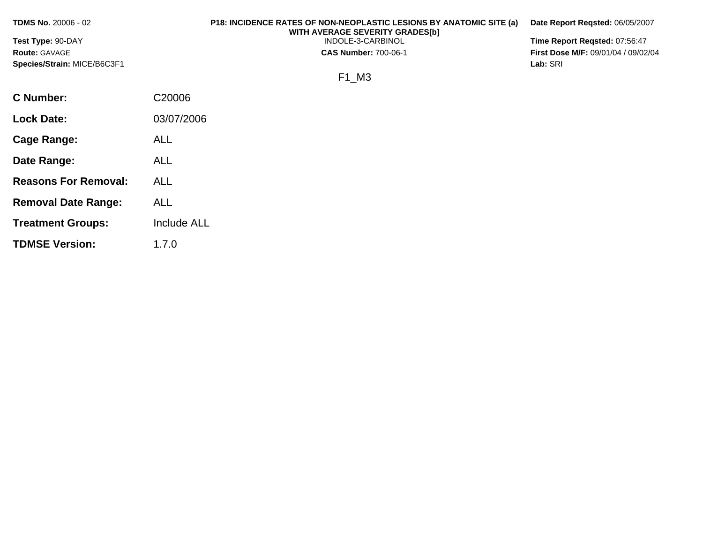**TDMS No.** 20006 - 02 **Test Type:** 90-DAY **Route:** GAVAGE **Species/Strain:** MICE/B6C3F1 **P18: INCIDENCE RATES OF NON-NEOPLASTIC LESIONS BY ANATOMIC SITE (a) WITH AVERAGE SEVERITY GRADES[b]**  INDOLE-3-CARBINOL **CAS Number:** 700-06-1 F1\_M3 **Date Report Reqsted:** 06/05/2007 **Time Report Reqsted:** 07:56:47 **First Dose M/F:** 09/01/04 / 09/02/04 **Lab:** SRI **C Number:** C20006 **Lock Date:** 03/07/2006 **Cage Range:** ALL **Date Range:** ALL

**Reasons For Removal:** ALL

**Removal Date Range:** ALL

**TDMSE Version:** 1.7.0

**Treatment Groups:** Include ALL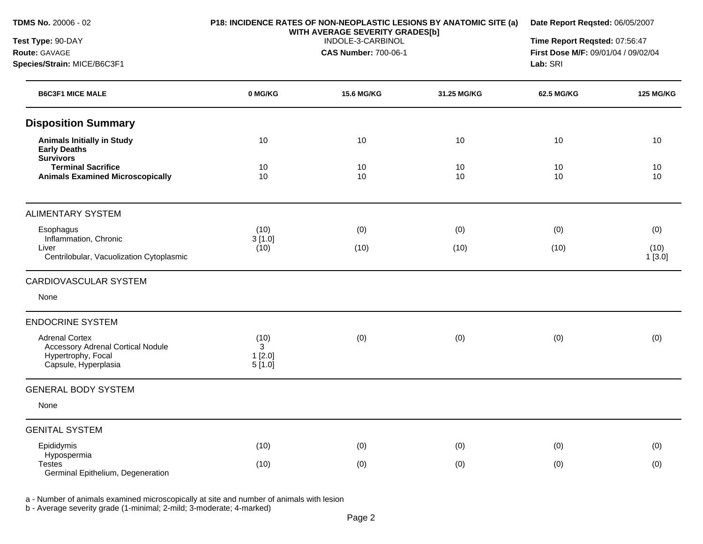| TDMS No. 20006 - 02<br>Test Type: 90-DAY<br>Route: GAVAGE<br>Species/Strain: MICE/B6C3F1                 | P18: INCIDENCE RATES OF NON-NEOPLASTIC LESIONS BY ANATOMIC SITE (a)<br>WITH AVERAGE SEVERITY GRADES[b]<br>INDOLE-3-CARBINOL<br><b>CAS Number: 700-06-1</b> |                                  |          | Date Report Reqsted: 06/05/2007<br>Time Report Reqsted: 07:56:47<br>First Dose M/F: 09/01/04 / 09/02/04<br>Lab: SRI |                                |  |
|----------------------------------------------------------------------------------------------------------|------------------------------------------------------------------------------------------------------------------------------------------------------------|----------------------------------|----------|---------------------------------------------------------------------------------------------------------------------|--------------------------------|--|
| <b>B6C3F1 MICE MALE</b>                                                                                  | 0 MG/KG                                                                                                                                                    | <b>15.6 MG/KG</b><br>31.25 MG/KG |          |                                                                                                                     | <b>125 MG/KG</b><br>62.5 MG/KG |  |
| <b>Disposition Summary</b>                                                                               |                                                                                                                                                            |                                  |          |                                                                                                                     |                                |  |
| <b>Animals Initially in Study</b><br><b>Early Deaths</b><br><b>Survivors</b>                             | 10                                                                                                                                                         | 10                               | 10       | 10                                                                                                                  | 10                             |  |
| <b>Terminal Sacrifice</b><br><b>Animals Examined Microscopically</b>                                     | 10<br>10                                                                                                                                                   | 10<br>10                         | 10<br>10 | 10<br>10                                                                                                            | 10<br>10                       |  |
| <b>ALIMENTARY SYSTEM</b>                                                                                 |                                                                                                                                                            |                                  |          |                                                                                                                     |                                |  |
| Esophagus                                                                                                | (10)                                                                                                                                                       | (0)                              | (0)      | (0)                                                                                                                 | (0)                            |  |
| Inflammation, Chronic<br>Liver<br>Centrilobular, Vacuolization Cytoplasmic                               | 3[1.0]<br>(10)                                                                                                                                             | (10)                             | (10)     | (10)                                                                                                                | (10)<br>1[3.0]                 |  |
| <b>CARDIOVASCULAR SYSTEM</b>                                                                             |                                                                                                                                                            |                                  |          |                                                                                                                     |                                |  |
| None                                                                                                     |                                                                                                                                                            |                                  |          |                                                                                                                     |                                |  |
| <b>ENDOCRINE SYSTEM</b>                                                                                  |                                                                                                                                                            |                                  |          |                                                                                                                     |                                |  |
| <b>Adrenal Cortex</b><br>Accessory Adrenal Cortical Nodule<br>Hypertrophy, Focal<br>Capsule, Hyperplasia | (10)<br>3<br>1[2.0]<br>5[1.0]                                                                                                                              | (0)                              | (0)      | (0)                                                                                                                 | (0)                            |  |
| <b>GENERAL BODY SYSTEM</b>                                                                               |                                                                                                                                                            |                                  |          |                                                                                                                     |                                |  |
| None                                                                                                     |                                                                                                                                                            |                                  |          |                                                                                                                     |                                |  |
| <b>GENITAL SYSTEM</b>                                                                                    |                                                                                                                                                            |                                  |          |                                                                                                                     |                                |  |
| Epididymis<br>Hypospermia                                                                                | (10)                                                                                                                                                       | (0)                              | (0)      | (0)                                                                                                                 | (0)                            |  |
| <b>Testes</b><br>Germinal Epithelium, Degeneration                                                       | (10)                                                                                                                                                       | (0)                              | (0)      | (0)                                                                                                                 | (0)                            |  |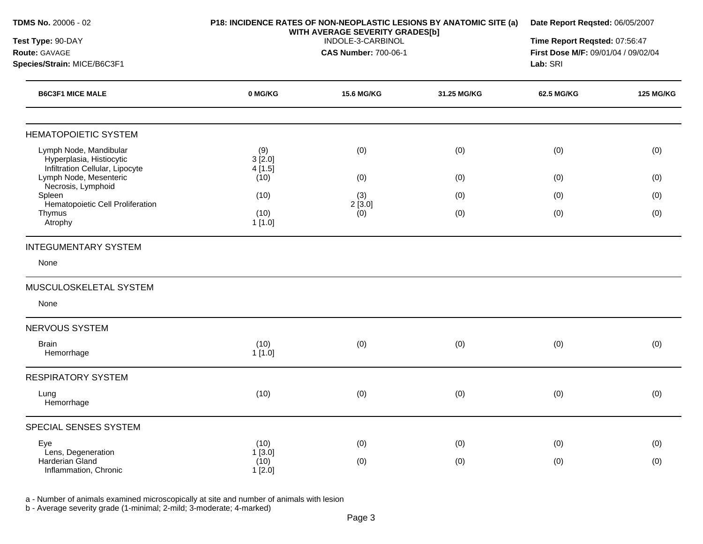| TDMS No. 20006 - 02<br>Test Type: 90-DAY<br>Route: GAVAGE                             |                          | P18: INCIDENCE RATES OF NON-NEOPLASTIC LESIONS BY ANATOMIC SITE (a)<br>WITH AVERAGE SEVERITY GRADES[b]<br>INDOLE-3-CARBINOL<br><b>CAS Number: 700-06-1</b> |             |            | Date Report Reqsted: 06/05/2007<br>Time Report Reqsted: 07:56:47<br>First Dose M/F: 09/01/04 / 09/02/04<br>Lab: SRI |  |
|---------------------------------------------------------------------------------------|--------------------------|------------------------------------------------------------------------------------------------------------------------------------------------------------|-------------|------------|---------------------------------------------------------------------------------------------------------------------|--|
| Species/Strain: MICE/B6C3F1                                                           |                          |                                                                                                                                                            |             |            |                                                                                                                     |  |
| <b>B6C3F1 MICE MALE</b>                                                               | 0 MG/KG                  | <b>15.6 MG/KG</b>                                                                                                                                          | 31.25 MG/KG | 62.5 MG/KG | <b>125 MG/KG</b>                                                                                                    |  |
| <b>HEMATOPOIETIC SYSTEM</b>                                                           |                          |                                                                                                                                                            |             |            |                                                                                                                     |  |
| Lymph Node, Mandibular<br>Hyperplasia, Histiocytic<br>Infiltration Cellular, Lipocyte | (9)<br>3[2.0]<br>4[1.5]  | (0)                                                                                                                                                        | (0)         | (0)        | (0)                                                                                                                 |  |
| Lymph Node, Mesenteric<br>Necrosis, Lymphoid                                          | (10)                     | (0)                                                                                                                                                        | (0)         | (0)        | (0)                                                                                                                 |  |
| Spleen                                                                                | (10)                     | (3)                                                                                                                                                        | (0)         | (0)        | (0)                                                                                                                 |  |
| Hematopoietic Cell Proliferation<br>Thymus<br>Atrophy                                 | (10)<br>1[1.0]           | 2[3.0]<br>(0)                                                                                                                                              | (0)         | (0)        | (0)                                                                                                                 |  |
| <b>INTEGUMENTARY SYSTEM</b>                                                           |                          |                                                                                                                                                            |             |            |                                                                                                                     |  |
| None                                                                                  |                          |                                                                                                                                                            |             |            |                                                                                                                     |  |
| MUSCULOSKELETAL SYSTEM                                                                |                          |                                                                                                                                                            |             |            |                                                                                                                     |  |
| None                                                                                  |                          |                                                                                                                                                            |             |            |                                                                                                                     |  |
| <b>NERVOUS SYSTEM</b>                                                                 |                          |                                                                                                                                                            |             |            |                                                                                                                     |  |
| <b>Brain</b><br>Hemorrhage                                                            | (10)<br>1[1.0]           | (0)                                                                                                                                                        | (0)         | (0)        | (0)                                                                                                                 |  |
| <b>RESPIRATORY SYSTEM</b>                                                             |                          |                                                                                                                                                            |             |            |                                                                                                                     |  |
| Lung<br>Hemorrhage                                                                    | (10)                     | (0)                                                                                                                                                        | (0)         | (0)        | (0)                                                                                                                 |  |
| SPECIAL SENSES SYSTEM                                                                 |                          |                                                                                                                                                            |             |            |                                                                                                                     |  |
| Eye                                                                                   | (10)                     | (0)                                                                                                                                                        | (0)         | (0)        | (0)                                                                                                                 |  |
| Lens, Degeneration<br>Harderian Gland<br>Inflammation, Chronic                        | 1[3.0]<br>(10)<br>1[2.0] | (0)                                                                                                                                                        | (0)         | (0)        | (0)                                                                                                                 |  |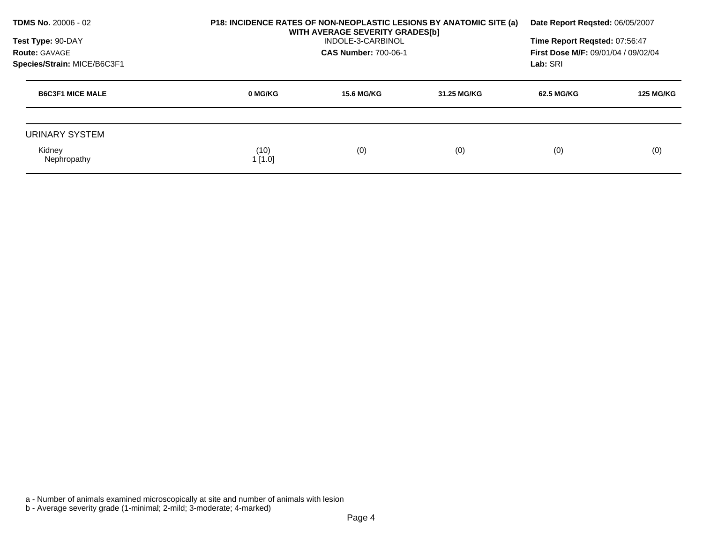| TDMS No. 20006 - 02<br>Test Type: 90-DAY<br>Route: GAVAGE<br>Species/Strain: MICE/B6C3F1 |                | P18: INCIDENCE RATES OF NON-NEOPLASTIC LESIONS BY ANATOMIC SITE (a)<br>WITH AVERAGE SEVERITY GRADES[b]<br>INDOLE-3-CARBINOL<br><b>CAS Number: 700-06-1</b> |             |            | Date Report Regsted: 06/05/2007<br>Time Report Regsted: 07:56:47<br><b>First Dose M/F: 09/01/04 / 09/02/04</b><br>Lab: SRI |  |
|------------------------------------------------------------------------------------------|----------------|------------------------------------------------------------------------------------------------------------------------------------------------------------|-------------|------------|----------------------------------------------------------------------------------------------------------------------------|--|
| <b>B6C3F1 MICE MALE</b>                                                                  | 0 MG/KG        | <b>15.6 MG/KG</b>                                                                                                                                          | 31.25 MG/KG | 62.5 MG/KG | <b>125 MG/KG</b>                                                                                                           |  |
| URINARY SYSTEM                                                                           |                |                                                                                                                                                            |             |            |                                                                                                                            |  |
| Kidney<br>Nephropathy                                                                    | (10)<br>1[1.0] | (0)                                                                                                                                                        | (0)         | (0)        | (0)                                                                                                                        |  |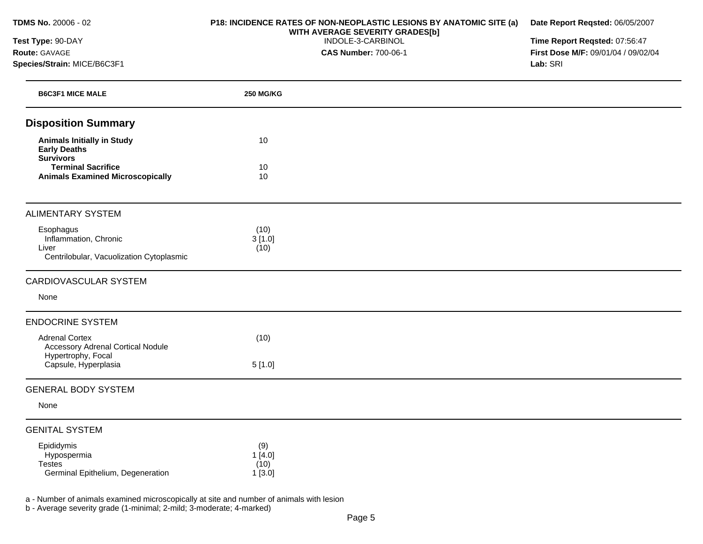**TDMS No.** 20006 - 02

## **Test Type:** 90-DAY **Route:** GAVAGE **Species/Strain:** MICE/B6C3F1

## **P18: INCIDENCE RATES OF NON-NEOPLASTIC LESIONS BY ANATOMIC SITE (a) WITH AVERAGE SEVERITY GRADES[b]**  INDOLE-3-CARBINOL

**CAS Number:** 700-06-1

**Date Report Reqsted:** 06/05/2007 **Time Report Reqsted:** 07:56:47

**First Dose M/F:** 09/01/04 / 09/02/04 **Lab:** SRI

| <b>B6C3F1 MICE MALE</b>                                                                 | <b>250 MG/KG</b>                |  |
|-----------------------------------------------------------------------------------------|---------------------------------|--|
| <b>Disposition Summary</b>                                                              |                                 |  |
| <b>Animals Initially in Study</b><br><b>Early Deaths</b><br><b>Survivors</b>            | 10                              |  |
| <b>Terminal Sacrifice</b><br><b>Animals Examined Microscopically</b>                    | 10<br>10                        |  |
| <b>ALIMENTARY SYSTEM</b>                                                                |                                 |  |
| Esophagus<br>Inflammation, Chronic<br>Liver<br>Centrilobular, Vacuolization Cytoplasmic | (10)<br>3[1.0]<br>(10)          |  |
| CARDIOVASCULAR SYSTEM                                                                   |                                 |  |
| None                                                                                    |                                 |  |
| <b>ENDOCRINE SYSTEM</b>                                                                 |                                 |  |
| <b>Adrenal Cortex</b><br><b>Accessory Adrenal Cortical Nodule</b><br>Hypertrophy, Focal | (10)                            |  |
| Capsule, Hyperplasia                                                                    | 5[1.0]                          |  |
| <b>GENERAL BODY SYSTEM</b>                                                              |                                 |  |
| None                                                                                    |                                 |  |
| <b>GENITAL SYSTEM</b>                                                                   |                                 |  |
| Epididymis<br>Hypospermia<br><b>Testes</b><br>Germinal Epithelium, Degeneration         | (9)<br>1[4.0]<br>(10)<br>1[3.0] |  |

a - Number of animals examined microscopically at site and number of animals with lesion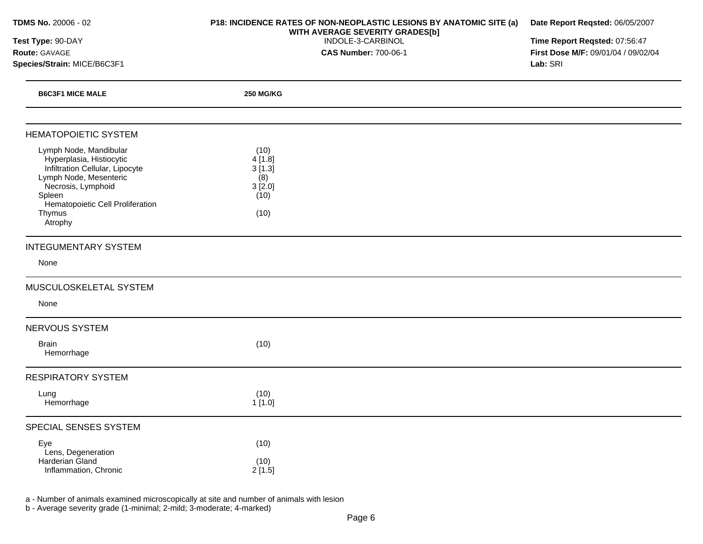| TDMS No. 20006 - 02<br>Test Type: 90-DAY<br>Route: GAVAGE<br>Species/Strain: MICE/B6C3F1                                                                                                                 | P18: INCIDENCE RATES OF NON-NEOPLASTIC LESIONS BY ANATOMIC SITE (a)<br>WITH AVERAGE SEVERITY GRADES[b]<br>INDOLE-3-CARBINOL<br><b>CAS Number: 700-06-1</b> | Date Report Reqsted: 06/05/2007<br>Time Report Reqsted: 07:56:47<br>First Dose M/F: 09/01/04 / 09/02/04<br>Lab: SRI |  |
|----------------------------------------------------------------------------------------------------------------------------------------------------------------------------------------------------------|------------------------------------------------------------------------------------------------------------------------------------------------------------|---------------------------------------------------------------------------------------------------------------------|--|
|                                                                                                                                                                                                          |                                                                                                                                                            |                                                                                                                     |  |
| <b>B6C3F1 MICE MALE</b>                                                                                                                                                                                  | <b>250 MG/KG</b>                                                                                                                                           |                                                                                                                     |  |
| <b>HEMATOPOIETIC SYSTEM</b>                                                                                                                                                                              |                                                                                                                                                            |                                                                                                                     |  |
| Lymph Node, Mandibular<br>Hyperplasia, Histiocytic<br>Infiltration Cellular, Lipocyte<br>Lymph Node, Mesenteric<br>Necrosis, Lymphoid<br>Spleen<br>Hematopoietic Cell Proliferation<br>Thymus<br>Atrophy | (10)<br>4[1.8]<br>3[1.3]<br>(8)<br>3[2.0]<br>(10)<br>(10)                                                                                                  |                                                                                                                     |  |
| <b>INTEGUMENTARY SYSTEM</b>                                                                                                                                                                              |                                                                                                                                                            |                                                                                                                     |  |
| None                                                                                                                                                                                                     |                                                                                                                                                            |                                                                                                                     |  |
| MUSCULOSKELETAL SYSTEM<br>None                                                                                                                                                                           |                                                                                                                                                            |                                                                                                                     |  |
| NERVOUS SYSTEM                                                                                                                                                                                           |                                                                                                                                                            |                                                                                                                     |  |
| <b>Brain</b><br>Hemorrhage                                                                                                                                                                               | (10)                                                                                                                                                       |                                                                                                                     |  |
| <b>RESPIRATORY SYSTEM</b>                                                                                                                                                                                |                                                                                                                                                            |                                                                                                                     |  |
| Lung<br>Hemorrhage                                                                                                                                                                                       | (10)<br>1[1.0]                                                                                                                                             |                                                                                                                     |  |
| SPECIAL SENSES SYSTEM                                                                                                                                                                                    |                                                                                                                                                            |                                                                                                                     |  |
| Eye<br>Lens, Degeneration<br>Harderian Gland<br>Inflammation, Chronic                                                                                                                                    | (10)<br>(10)<br>2[1.5]                                                                                                                                     |                                                                                                                     |  |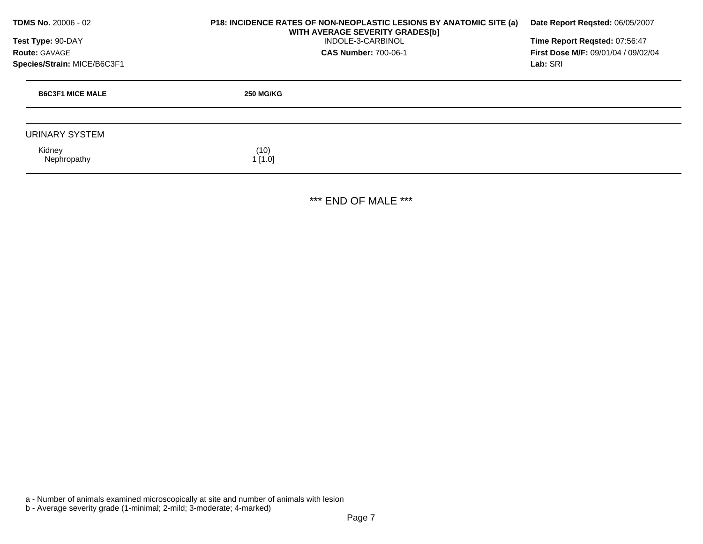| <b>TDMS No. 20006 - 02</b><br>Test Type: 90-DAY<br><b>Route: GAVAGE</b> | <b>P18: INCIDENCE RATES OF NON-NEOPLASTIC LESIONS BY ANATOMIC SITE (a)</b><br>WITH AVERAGE SEVERITY GRADES[b]<br>INDOLE-3-CARBINOL<br><b>CAS Number: 700-06-1</b> | Date Report Regsted: 06/05/2007<br>Time Report Regsted: 07:56:47<br>First Dose M/F: 09/01/04 / 09/02/04 |  |
|-------------------------------------------------------------------------|-------------------------------------------------------------------------------------------------------------------------------------------------------------------|---------------------------------------------------------------------------------------------------------|--|
| Species/Strain: MICE/B6C3F1                                             |                                                                                                                                                                   | Lab: SRI                                                                                                |  |
| <b>B6C3F1 MICE MALE</b>                                                 | <b>250 MG/KG</b>                                                                                                                                                  |                                                                                                         |  |
|                                                                         |                                                                                                                                                                   |                                                                                                         |  |
| URINARY SYSTEM                                                          |                                                                                                                                                                   |                                                                                                         |  |
| Kidney<br>Nephropathy                                                   | (10)<br>1[1.0]                                                                                                                                                    |                                                                                                         |  |

\*\*\* END OF MALE \*\*\*

a - Number of animals examined microscopically at site and number of animals with lesion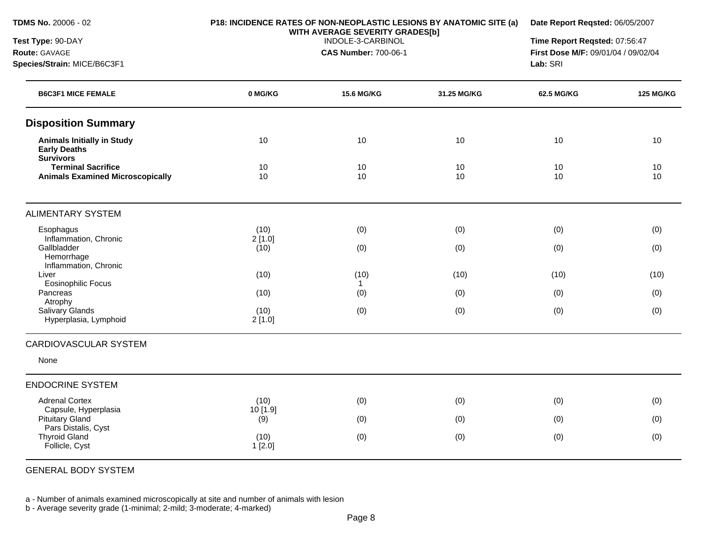**Species/Strain:** MICE/B6C3F1

**Test Type:** 90-DAY **Route:** GAVAGE

#### **P18: INCIDENCE RATES OF NON-NEOPLASTIC LESIONS BY ANATOMIC SITE (a) WITH AVERAGE SEVERITY GRADES[b]**

**Date Report Reqsted:** 06/05/2007

INDOLE-3-CARBINOL

**CAS Number:** 700-06-1

**Time Report Reqsted:** 07:56:47 **First Dose M/F:** 09/01/04 / 09/02/04 **Lab:** SRI

| <b>B6C3F1 MICE FEMALE</b>                                                    | 0 MG/KG         | <b>15.6 MG/KG</b>    | 31.25 MG/KG | <b>62.5 MG/KG</b> | <b>125 MG/KG</b> |
|------------------------------------------------------------------------------|-----------------|----------------------|-------------|-------------------|------------------|
| <b>Disposition Summary</b>                                                   |                 |                      |             |                   |                  |
| <b>Animals Initially in Study</b><br><b>Early Deaths</b><br><b>Survivors</b> | 10              | 10                   | 10          | 10                | 10               |
| <b>Terminal Sacrifice</b><br><b>Animals Examined Microscopically</b>         | 10<br>10        | 10<br>10             | 10<br>10    | 10<br>10          | 10<br>10         |
| <b>ALIMENTARY SYSTEM</b>                                                     |                 |                      |             |                   |                  |
| Esophagus                                                                    | (10)            | (0)                  | (0)         | (0)               | (0)              |
| Inflammation, Chronic<br>Gallbladder<br>Hemorrhage<br>Inflammation, Chronic  | 2[1.0]<br>(10)  | (0)                  | (0)         | (0)               | (0)              |
| Liver<br><b>Eosinophilic Focus</b>                                           | (10)            | (10)<br>$\mathbf{1}$ | (10)        | (10)              | (10)             |
| Pancreas                                                                     | (10)            | (0)                  | (0)         | (0)               | (0)              |
| Atrophy<br>Salivary Glands<br>Hyperplasia, Lymphoid                          | (10)<br>2[1.0]  | (0)                  | (0)         | (0)               | (0)              |
| CARDIOVASCULAR SYSTEM                                                        |                 |                      |             |                   |                  |
| None                                                                         |                 |                      |             |                   |                  |
| <b>ENDOCRINE SYSTEM</b>                                                      |                 |                      |             |                   |                  |
| <b>Adrenal Cortex</b>                                                        | (10)            | (0)                  | (0)         | (0)               | (0)              |
| Capsule, Hyperplasia<br><b>Pituitary Gland</b>                               | 10 [1.9]<br>(9) | (0)                  | (0)         | (0)               | (0)              |
| Pars Distalis, Cyst<br><b>Thyroid Gland</b><br>Follicle, Cyst                | (10)<br>1[2.0]  | (0)                  | (0)         | (0)               | (0)              |

GENERAL BODY SYSTEM

a - Number of animals examined microscopically at site and number of animals with lesion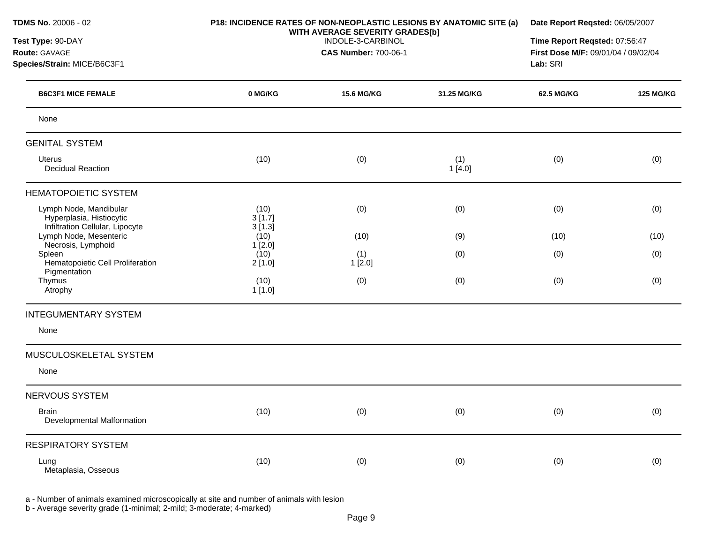| TDMS No. 20006 - 02<br>P18: INCIDENCE RATES OF NON-NEOPLASTIC LESIONS BY ANATOMIC SITE (a)<br>WITH AVERAGE SEVERITY GRADES[b] |                          | Date Report Reqsted: 06/05/2007 |               |                                     |                               |  |
|-------------------------------------------------------------------------------------------------------------------------------|--------------------------|---------------------------------|---------------|-------------------------------------|-------------------------------|--|
| Test Type: 90-DAY                                                                                                             |                          | INDOLE-3-CARBINOL               |               |                                     | Time Report Reqsted: 07:56:47 |  |
| Route: GAVAGE                                                                                                                 |                          | <b>CAS Number: 700-06-1</b>     |               | First Dose M/F: 09/01/04 / 09/02/04 |                               |  |
| Species/Strain: MICE/B6C3F1                                                                                                   |                          |                                 |               |                                     | Lab: SRI                      |  |
| <b>B6C3F1 MICE FEMALE</b>                                                                                                     | 0 MG/KG                  | <b>15.6 MG/KG</b>               | 31.25 MG/KG   | 62.5 MG/KG                          | <b>125 MG/KG</b>              |  |
| None                                                                                                                          |                          |                                 |               |                                     |                               |  |
| <b>GENITAL SYSTEM</b>                                                                                                         |                          |                                 |               |                                     |                               |  |
| <b>Uterus</b><br><b>Decidual Reaction</b>                                                                                     | (10)                     | (0)                             | (1)<br>1[4.0] | (0)                                 | (0)                           |  |
| <b>HEMATOPOIETIC SYSTEM</b>                                                                                                   |                          |                                 |               |                                     |                               |  |
| Lymph Node, Mandibular<br>Hyperplasia, Histiocytic<br>Infiltration Cellular, Lipocyte                                         | (10)<br>3[1.7]<br>3[1.3] | (0)                             | (0)           | (0)                                 | (0)                           |  |
| Lymph Node, Mesenteric<br>Necrosis, Lymphoid                                                                                  | (10)                     | (10)                            | (9)           | (10)                                | (10)                          |  |
| Spleen<br>Hematopoietic Cell Proliferation<br>Pigmentation                                                                    | 1[2.0]<br>(10)<br>2[1.0] | (1)<br>1[2.0]                   | (0)           | (0)                                 | (0)                           |  |
| Thymus<br>Atrophy                                                                                                             | (10)<br>1[1.0]           | (0)                             | (0)           | (0)                                 | (0)                           |  |
| <b>INTEGUMENTARY SYSTEM</b>                                                                                                   |                          |                                 |               |                                     |                               |  |
| None                                                                                                                          |                          |                                 |               |                                     |                               |  |
| MUSCULOSKELETAL SYSTEM                                                                                                        |                          |                                 |               |                                     |                               |  |
| None                                                                                                                          |                          |                                 |               |                                     |                               |  |
| NERVOUS SYSTEM                                                                                                                |                          |                                 |               |                                     |                               |  |
| <b>Brain</b><br>Developmental Malformation                                                                                    | (10)                     | (0)                             | (0)           | (0)                                 | (0)                           |  |
| <b>RESPIRATORY SYSTEM</b>                                                                                                     |                          |                                 |               |                                     |                               |  |
| Lung<br>Metaplasia, Osseous                                                                                                   | (10)                     | (0)                             | (0)           | (0)                                 | (0)                           |  |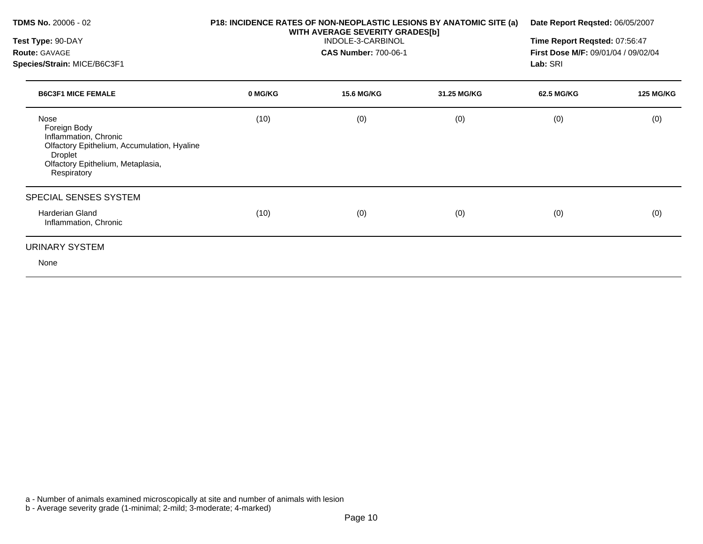| <b>TDMS No. 20006 - 02</b>                                                                                                                                         | P18: INCIDENCE RATES OF NON-NEOPLASTIC LESIONS BY ANATOMIC SITE (a)<br>WITH AVERAGE SEVERITY GRADES[b]<br>INDOLE-3-CARBINOL |                             |             | Date Report Reqsted: 06/05/2007<br>Time Report Reqsted: 07:56:47 |                  |  |
|--------------------------------------------------------------------------------------------------------------------------------------------------------------------|-----------------------------------------------------------------------------------------------------------------------------|-----------------------------|-------------|------------------------------------------------------------------|------------------|--|
| Test Type: 90-DAY                                                                                                                                                  |                                                                                                                             |                             |             |                                                                  |                  |  |
| <b>Route: GAVAGE</b>                                                                                                                                               |                                                                                                                             | <b>CAS Number: 700-06-1</b> |             | First Dose M/F: 09/01/04 / 09/02/04                              |                  |  |
| Species/Strain: MICE/B6C3F1                                                                                                                                        |                                                                                                                             |                             |             |                                                                  | Lab: SRI         |  |
| <b>B6C3F1 MICE FEMALE</b>                                                                                                                                          | 0 MG/KG                                                                                                                     | <b>15.6 MG/KG</b>           | 31.25 MG/KG | 62.5 MG/KG                                                       | <b>125 MG/KG</b> |  |
| Nose<br>Foreign Body<br>Inflammation, Chronic<br>Olfactory Epithelium, Accumulation, Hyaline<br><b>Droplet</b><br>Olfactory Epithelium, Metaplasia,<br>Respiratory | (10)                                                                                                                        | (0)                         | (0)         | (0)                                                              | (0)              |  |
| SPECIAL SENSES SYSTEM                                                                                                                                              |                                                                                                                             |                             |             |                                                                  |                  |  |
| <b>Harderian Gland</b><br>Inflammation, Chronic                                                                                                                    | (10)                                                                                                                        | (0)                         | (0)         | (0)                                                              | (0)              |  |
| URINARY SYSTEM                                                                                                                                                     |                                                                                                                             |                             |             |                                                                  |                  |  |
| None                                                                                                                                                               |                                                                                                                             |                             |             |                                                                  |                  |  |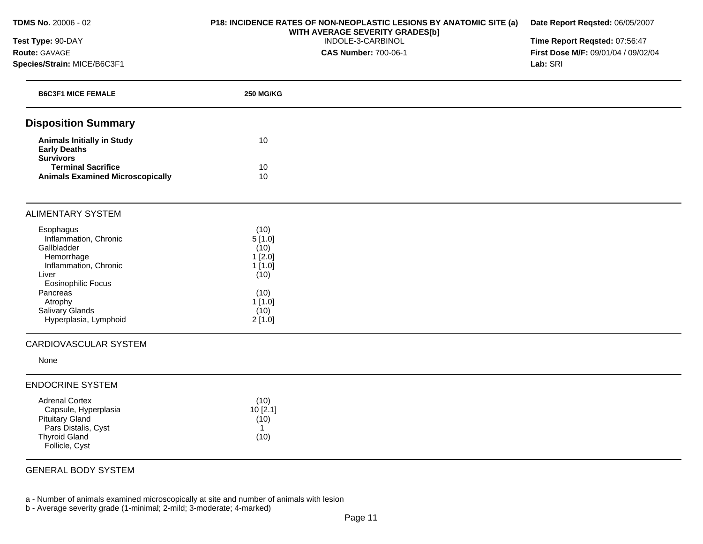**TDMS No.** 20006 - 02

## **Test Type:** 90-DAY **Route:** GAVAGE **Species/Strain:** MICE/B6C3F1

#### **P18: INCIDENCE RATES OF NON-NEOPLASTIC LESIONS BY ANATOMIC SITE (a) WITH AVERAGE SEVERITY GRADES[b]**  INDOLE-3-CARBINOL

**CAS Number:** 700-06-1

**Date Report Reqsted:** 06/05/2007

**Time Report Reqsted:** 07:56:47 **First Dose M/F:** 09/01/04 / 09/02/04 **Lab:** SRI

| <b>B6C3F1 MICE FEMALE</b>                                                                                                                             | <b>250 MG/KG</b>                                                     |  |
|-------------------------------------------------------------------------------------------------------------------------------------------------------|----------------------------------------------------------------------|--|
| <b>Disposition Summary</b>                                                                                                                            |                                                                      |  |
| <b>Animals Initially in Study</b><br><b>Early Deaths</b><br><b>Survivors</b>                                                                          | 10                                                                   |  |
| <b>Terminal Sacrifice</b><br><b>Animals Examined Microscopically</b>                                                                                  | 10<br>10                                                             |  |
|                                                                                                                                                       |                                                                      |  |
| <b>ALIMENTARY SYSTEM</b>                                                                                                                              |                                                                      |  |
| Esophagus<br>Inflammation, Chronic<br>Gallbladder<br>Hemorrhage<br>Inflammation, Chronic<br>Liver<br><b>Eosinophilic Focus</b><br>Pancreas<br>Atrophy | (10)<br>5[1.0]<br>(10)<br>1[2.0]<br>1[1.0]<br>(10)<br>(10)<br>1[1.0] |  |
| Salivary Glands<br>Hyperplasia, Lymphoid                                                                                                              | (10)<br>2[1.0]                                                       |  |
| CARDIOVASCULAR SYSTEM                                                                                                                                 |                                                                      |  |
| None                                                                                                                                                  |                                                                      |  |
| <b>ENDOCRINE SYSTEM</b>                                                                                                                               |                                                                      |  |
| <b>Adrenal Cortex</b><br>Capsule, Hyperplasia<br><b>Pituitary Gland</b><br>Pars Distalis, Cyst<br><b>Thyroid Gland</b><br>Follicle, Cyst              | (10)<br>10[2.1]<br>(10)<br>$\mathbf{1}$<br>(10)                      |  |
| <b>GENERAL BODY SYSTEM</b>                                                                                                                            |                                                                      |  |

a - Number of animals examined microscopically at site and number of animals with lesion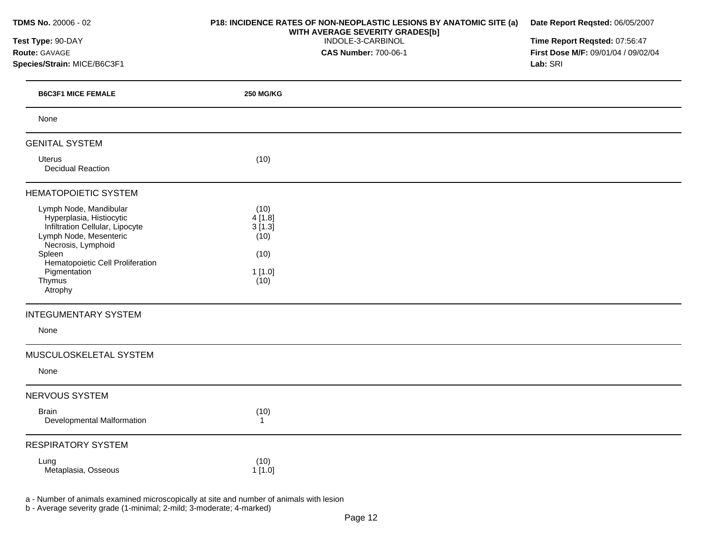| TDMS No. 20006 - 02                                                                                                                                                                                                                                     | P18: INCIDENCE RATES OF NON-NEOPLASTIC LESIONS BY ANATOMIC SITE (a)<br>WITH AVERAGE SEVERITY GRADES[b] | Date Report Reqsted: 06/05/2007     |  |  |
|---------------------------------------------------------------------------------------------------------------------------------------------------------------------------------------------------------------------------------------------------------|--------------------------------------------------------------------------------------------------------|-------------------------------------|--|--|
| Test Type: 90-DAY                                                                                                                                                                                                                                       | INDOLE-3-CARBINOL                                                                                      | Time Report Reqsted: 07:56:47       |  |  |
| Route: GAVAGE                                                                                                                                                                                                                                           | <b>CAS Number: 700-06-1</b>                                                                            | First Dose M/F: 09/01/04 / 09/02/04 |  |  |
| Species/Strain: MICE/B6C3F1                                                                                                                                                                                                                             |                                                                                                        | Lab: SRI                            |  |  |
| <b>B6C3F1 MICE FEMALE</b>                                                                                                                                                                                                                               | <b>250 MG/KG</b>                                                                                       |                                     |  |  |
| None                                                                                                                                                                                                                                                    |                                                                                                        |                                     |  |  |
| <b>GENITAL SYSTEM</b>                                                                                                                                                                                                                                   |                                                                                                        |                                     |  |  |
| <b>Uterus</b><br><b>Decidual Reaction</b>                                                                                                                                                                                                               | (10)                                                                                                   |                                     |  |  |
| <b>HEMATOPOIETIC SYSTEM</b>                                                                                                                                                                                                                             |                                                                                                        |                                     |  |  |
| Lymph Node, Mandibular<br>Hyperplasia, Histiocytic<br>Infiltration Cellular, Lipocyte<br>Lymph Node, Mesenteric<br>Necrosis, Lymphoid<br>Spleen<br>Hematopoietic Cell Proliferation<br>Pigmentation<br>Thymus<br>Atrophy<br><b>INTEGUMENTARY SYSTEM</b> | (10)<br>4[1.8]<br>3[1.3]<br>(10)<br>(10)<br>1[1.0]<br>(10)                                             |                                     |  |  |
| None                                                                                                                                                                                                                                                    |                                                                                                        |                                     |  |  |
| MUSCULOSKELETAL SYSTEM<br>None                                                                                                                                                                                                                          |                                                                                                        |                                     |  |  |
| <b>NERVOUS SYSTEM</b>                                                                                                                                                                                                                                   |                                                                                                        |                                     |  |  |
| Brain<br>Developmental Malformation                                                                                                                                                                                                                     | (10)<br>$\overline{1}$                                                                                 |                                     |  |  |
| <b>RESPIRATORY SYSTEM</b>                                                                                                                                                                                                                               |                                                                                                        |                                     |  |  |
| Lung<br>Metaplasia, Osseous                                                                                                                                                                                                                             | (10)<br>1[1.0]                                                                                         |                                     |  |  |